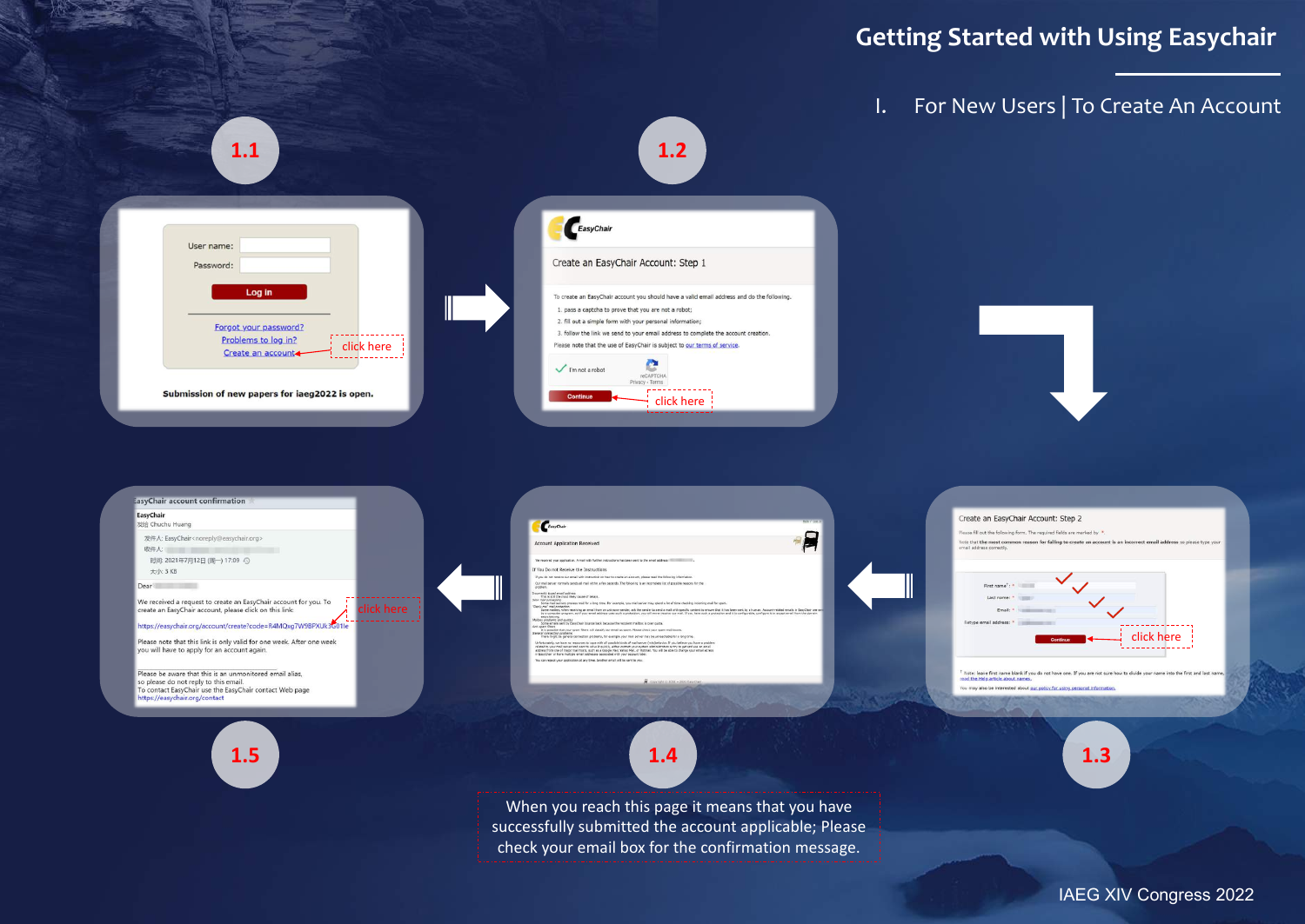# **Getting Started with Using Easychair**

## I. For New Users | To Create An Account





lease fill out the following form. The required fields are marked by that the most co n reason for failing to create an account is an incorrect email address so please type you





Note: leave first name blank if you do not have one. If you are not sure how to divide your name into the first and last name ead the Help article about na ou may also be interested about our policy for using personal information



When you reach this page it means that you have successfully submitted the account applicable; Please check your email box for the confirmation message.

IAEG XIV Congress 2022



so please do not reply to this email.

ttps://easychair.org/contact

To contact EasyChair use the EasyChair contact Web page



 $A$ 



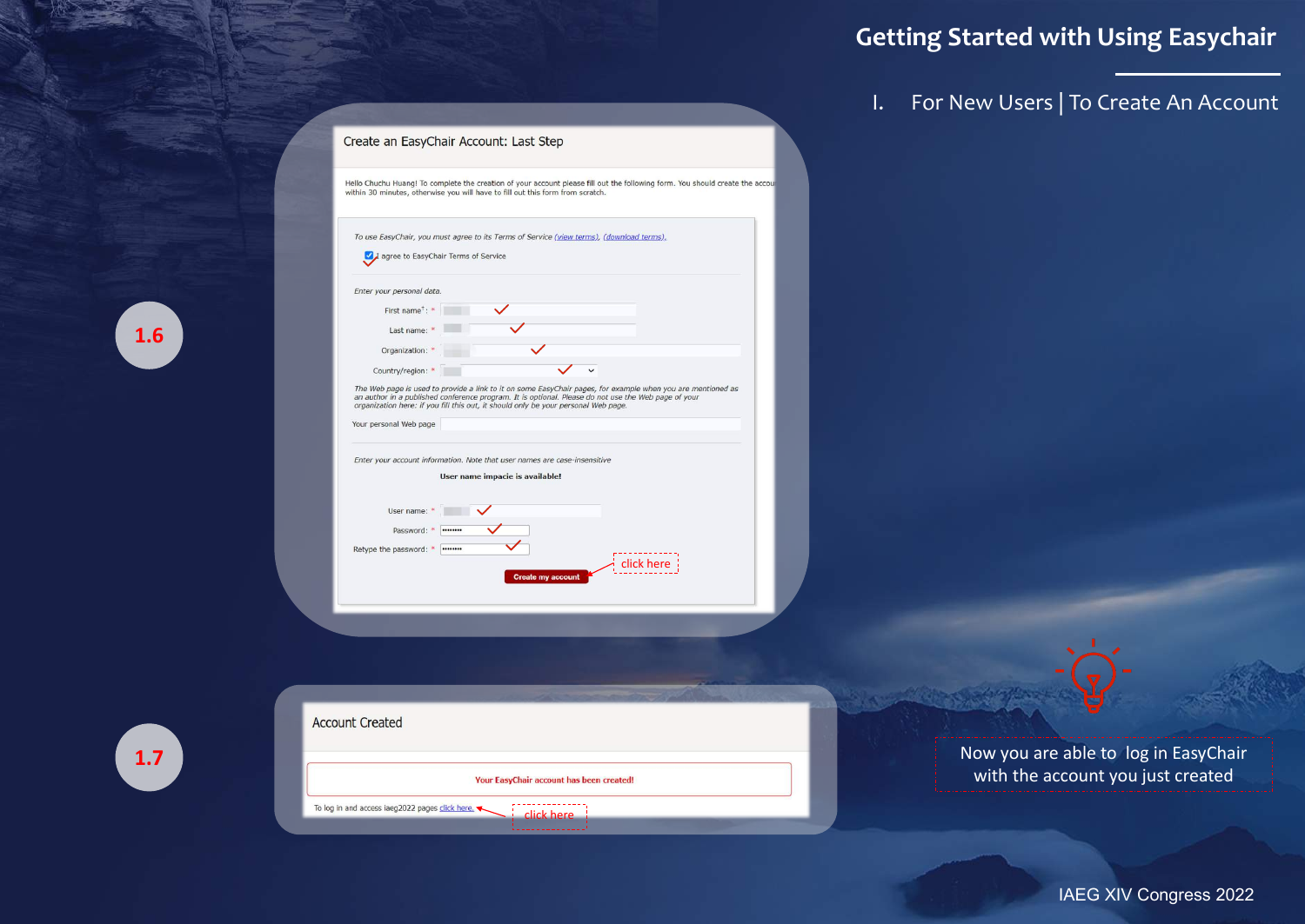| Create an EasyChair Account: Last Step |  |
|----------------------------------------|--|
|----------------------------------------|--|

Hello Chuchu Huang! To complete the creation of your account please fill out the following form. You should create the account within 30 minutes, otherwise you will have to fill out this form from scratch.

# **Getting Started with Using Easychair**

I. For New Users | To Create An Account



IAEG XIV Congress 2022

| Enter your personal data.   |                                                                                                                                                                                                                                                                                                          |
|-----------------------------|----------------------------------------------------------------------------------------------------------------------------------------------------------------------------------------------------------------------------------------------------------------------------------------------------------|
| First name <sup>+</sup> : * |                                                                                                                                                                                                                                                                                                          |
| Last name: *                |                                                                                                                                                                                                                                                                                                          |
| Organization:               |                                                                                                                                                                                                                                                                                                          |
| Country/region: *           |                                                                                                                                                                                                                                                                                                          |
| Your personal Web page      | The Web page is used to provide a link to it on some EasyChair pages, for example when you are mentioned as<br>an author in a published conference program. It is optional. Please do not use the Web page of your<br>organization here: if you fill this out, it should only be your personal Web page. |
|                             |                                                                                                                                                                                                                                                                                                          |
|                             | Enter your account information. Note that user names are case-insensitive                                                                                                                                                                                                                                |
|                             | User name impacie is available!                                                                                                                                                                                                                                                                          |
| User name:                  |                                                                                                                                                                                                                                                                                                          |
| Password:                   |                                                                                                                                                                                                                                                                                                          |

| <b>Account Created</b>                                        |  |
|---------------------------------------------------------------|--|
| Your EasyChair account has been created!                      |  |
| To log in and access iaeg2022 pages click here.<br>click here |  |

Now you are able to log in EasyChair with the account you just created



| <b>Service Service</b><br>_ |  |
|-----------------------------|--|
|                             |  |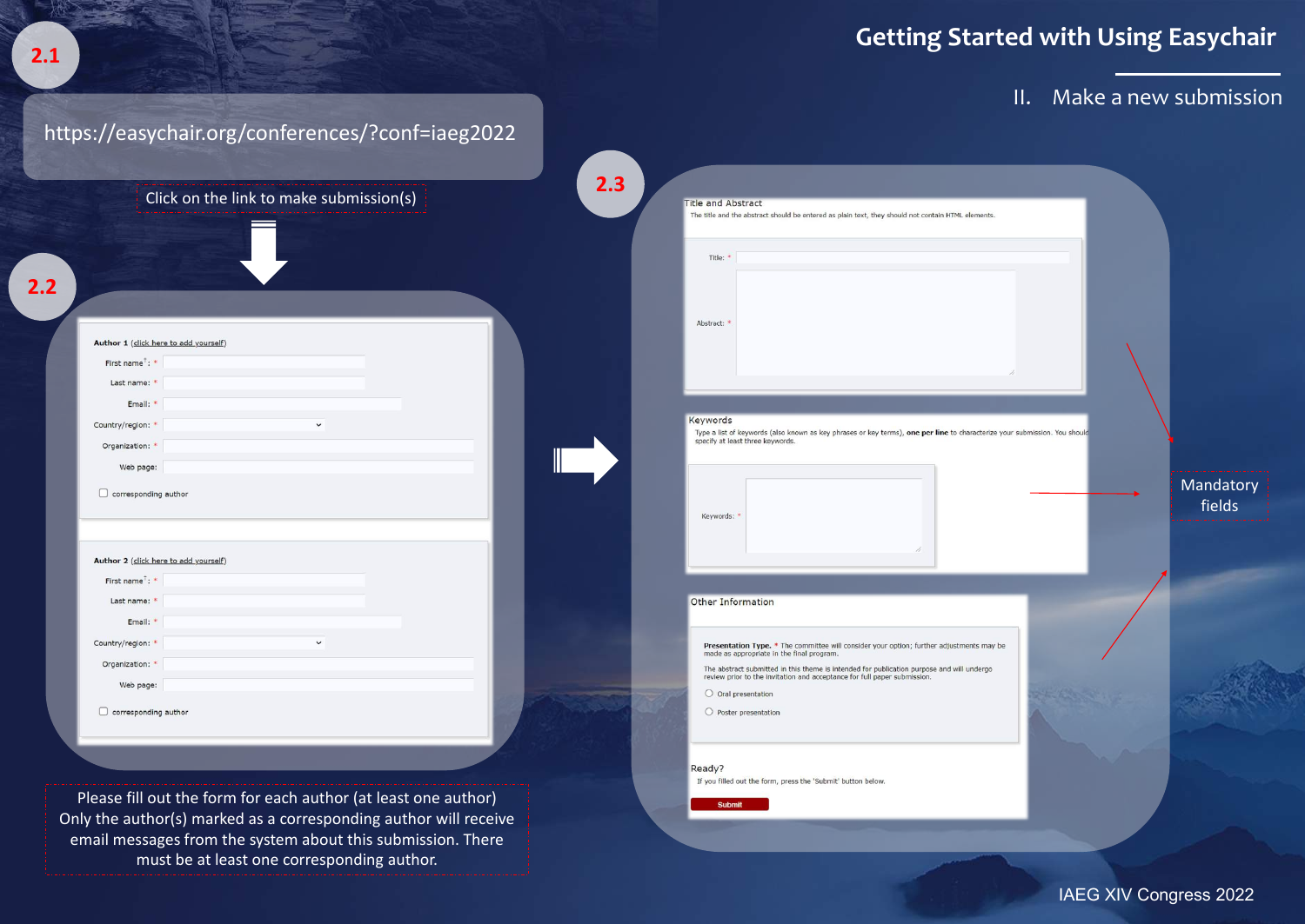# **Getting Started with Using Easychair**

## II. Make a new submission

IAEG XIV Congress 2022



|     |                                                | Click on the link to make submission(s) | 2.3 |                                                                                               |  |
|-----|------------------------------------------------|-----------------------------------------|-----|-----------------------------------------------------------------------------------------------|--|
|     |                                                |                                         |     | <b>Title and Abstract</b><br>The title and the abstract should be entered as plain tex        |  |
|     |                                                |                                         |     | Title: *                                                                                      |  |
|     |                                                |                                         |     |                                                                                               |  |
| 2.2 |                                                |                                         |     |                                                                                               |  |
|     |                                                |                                         |     | Abstract:                                                                                     |  |
|     | Author 1 (click here to add yourself)          |                                         |     |                                                                                               |  |
|     | First name <sup>+</sup> : *                    |                                         |     |                                                                                               |  |
|     | Last name: *                                   |                                         |     |                                                                                               |  |
|     | Email: *                                       |                                         |     |                                                                                               |  |
|     | Country/region: *                              | $\checkmark$                            |     | Keywords<br>Type a list of keywords (also known as key phrases of                             |  |
|     | Organization: *                                |                                         |     | specify at least three keywords.                                                              |  |
|     | Web page:                                      |                                         |     |                                                                                               |  |
|     | $\Box$ corresponding author                    |                                         |     | Keywords:                                                                                     |  |
|     | Author 2 (click here to add yourself)          |                                         |     |                                                                                               |  |
|     | First name <sup><math>\dagger</math></sup> : * |                                         |     |                                                                                               |  |
|     | Last name: *                                   |                                         |     | <b>Other Information</b>                                                                      |  |
|     | Email: *                                       |                                         |     |                                                                                               |  |
|     | Country/region: *                              | $\checkmark$                            |     | Presentation Type. * The committee will consid                                                |  |
|     | Organization: *                                |                                         |     | made as appropriate in the final program.<br>The abstract submitted in this theme is intended |  |
|     | Web page:                                      |                                         |     | review prior to the invitation and acceptance for I                                           |  |
|     | corresponding author                           |                                         |     | $\bigcirc$ Oral presentation                                                                  |  |
|     |                                                |                                         |     | $\bigcirc$ Poster presentation                                                                |  |